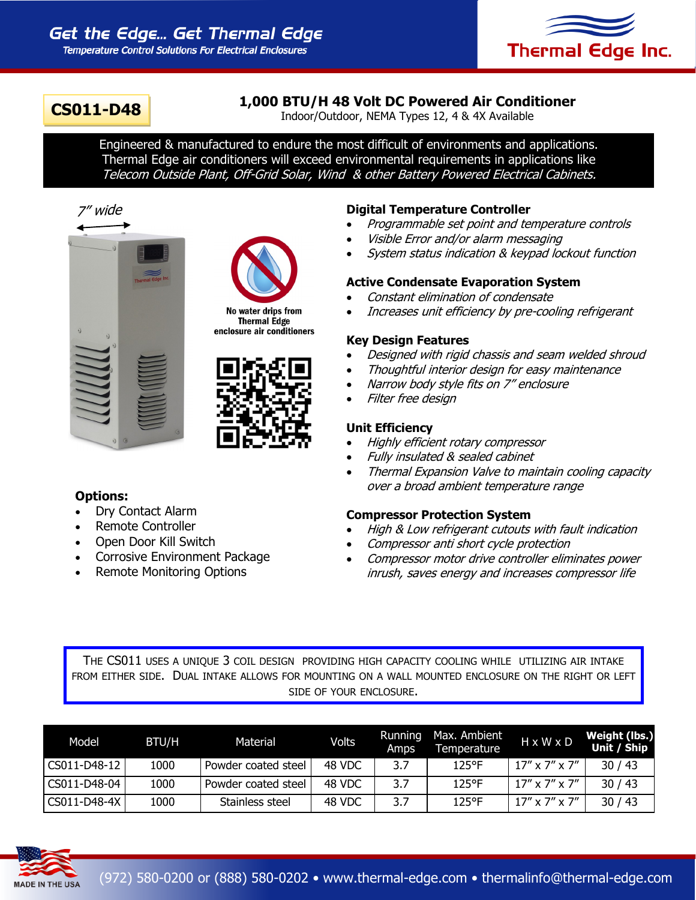

# **1,000 BTU/H 48 Volt DC Powered Air Conditioner CS011-D48**<br>
Indoor/Outdoor, NEMA Types 12, 4 & 4X Available

Engineered & manufactured to endure the most difficult of environments and applications. Thermal Edge air conditioners will exceed environmental requirements in applications like Telecom Outside Plant, Off-Grid Solar, Wind & other Battery Powered Electrical Cabinets.







No water drips from **Thermal Edge** enclosure air conditioners



## **Options:**

- Dry Contact Alarm
- Remote Controller
- Open Door Kill Switch
- Corrosive Environment Package
- Remote Monitoring Options

# **Digital Temperature Controller**

- Programmable set point and temperature controls
- Visible Error and/or alarm messaging
- System status indication & keypad lockout function

## **Active Condensate Evaporation System**

- Constant elimination of condensate
- Increases unit efficiency by pre-cooling refrigerant

#### **Key Design Features**

- Designed with rigid chassis and seam welded shroud
- Thoughtful interior design for easy maintenance
- Narrow body style fits on 7" enclosure
- Filter free design

#### **Unit Efficiency**

- Highly efficient rotary compressor
- Fully insulated & sealed cabinet
- Thermal Expansion Valve to maintain cooling capacity over a broad ambient temperature range

#### **Compressor Protection System**

- High & Low refrigerant cutouts with fault indication
- Compressor anti short cycle protection
- Compressor motor drive controller eliminates power inrush, saves energy and increases compressor life

THE CS011 USES A UNIQUE 3 COIL DESIGN PROVIDING HIGH CAPACITY COOLING WHILE UTILIZING AIR INTAKE FROM EITHER SIDE. DUAL INTAKE ALLOWS FOR MOUNTING ON A WALL MOUNTED ENCLOSURE ON THE RIGHT OR LEFT SIDE OF YOUR ENCLOSURE.

| Model         | BTU/H | Material            | Volts  | Running<br>Amps | Max. Ambient<br>Temperature | $H \times W \times D$        | Weight (lbs.)<br>Unit / Ship |
|---------------|-------|---------------------|--------|-----------------|-----------------------------|------------------------------|------------------------------|
| CS011-D48-12  | 1000  | Powder coated steel | 48 VDC | 3.7             | $125$ °F                    | $17'' \times 7'' \times 7''$ | 30/43                        |
| CS011-D48-04  | 1000  | Powder coated steel | 48 VDC | 3.7             | $125^{\circ}F$              | $17'' \times 7'' \times 7''$ | 30/43                        |
| ICS011-D48-4X | 1000  | Stainless steel     | 48 VDC | 3.7             | $125^{\circ}F$              | $17''$ x $7''$ x $7''$       | 30/43                        |